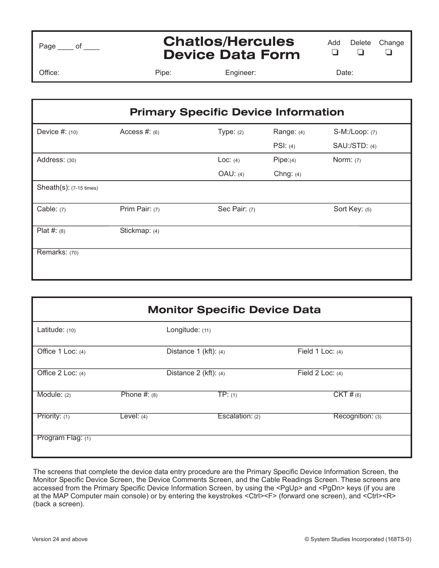| enפ |  |
|-----|--|
|     |  |

## **Chatlos/Hercules Chatios/Hercules** Add Delete Change<br>**Device Data Form**

 $\Box$  $\Box$  $\Box$ 

Office: Pipe: Engineer: Date:

| <b>Primary Specific Device Information</b> |                 |               |             |                      |  |  |
|--------------------------------------------|-----------------|---------------|-------------|----------------------|--|--|
| Device $#: (10)$                           | Access $#: (6)$ | Type: $(2)$   | Range: (4)  | S-M:/Loop: (7)       |  |  |
|                                            |                 |               | PSI: (4)    | <b>SAU:/STD: (4)</b> |  |  |
| Address: (30)                              |                 | Loc: $(4)$    | Pipe:(4)    | Norm: $(7)$          |  |  |
|                                            |                 | OAU: (4)      | Chng: $(4)$ |                      |  |  |
| Sheath(s): (7-15 times)                    |                 |               |             |                      |  |  |
| Cable: $(7)$                               | Prim Pair: (7)  | Sec Pair: (7) |             | Sort Key: (5)        |  |  |
| Plat #: $(8)$                              | Stickmap: (4)   |               |             |                      |  |  |
| Remarks: (70)                              |                 |               |             |                      |  |  |

| <b>Monitor Specific Device Data</b> |                |                           |                    |  |  |  |  |
|-------------------------------------|----------------|---------------------------|--------------------|--|--|--|--|
| Latitude: (10)                      |                | Longitude: (11)           |                    |  |  |  |  |
| Office 1 Loc: (4)                   |                | Distance $1$ (kft): $(4)$ | Field 1 Loc: $(4)$ |  |  |  |  |
| Office 2 Loc: (4)                   |                | Distance $2$ (kft): $(4)$ | Field 2 Loc: $(4)$ |  |  |  |  |
| Module: $(2)$                       | Phone $#: (8)$ | TP: (1)                   | $CKT$ # $(6)$      |  |  |  |  |
| Priority: (1)                       | Level: $(4)$   | Escalation: $(2)$         | Recognition: (3)   |  |  |  |  |
| Program Flag: (1)                   |                |                           |                    |  |  |  |  |

The screens that complete the device data entry procedure are the Primary Specific Device Information Screen, the Monitor Specific Device Screen, the Device Comments Screen, and the Cable Readings Screen. These screens are accessed from the Primary Specific Device Information Screen, by using the <PgUp> and <PgDn> keys (if you are at the MAP Computer main console) or by entering the keystrokes <Ctrl><F> (forward one screen), and (back a screen).  $\sum_{i=1}^{n}$